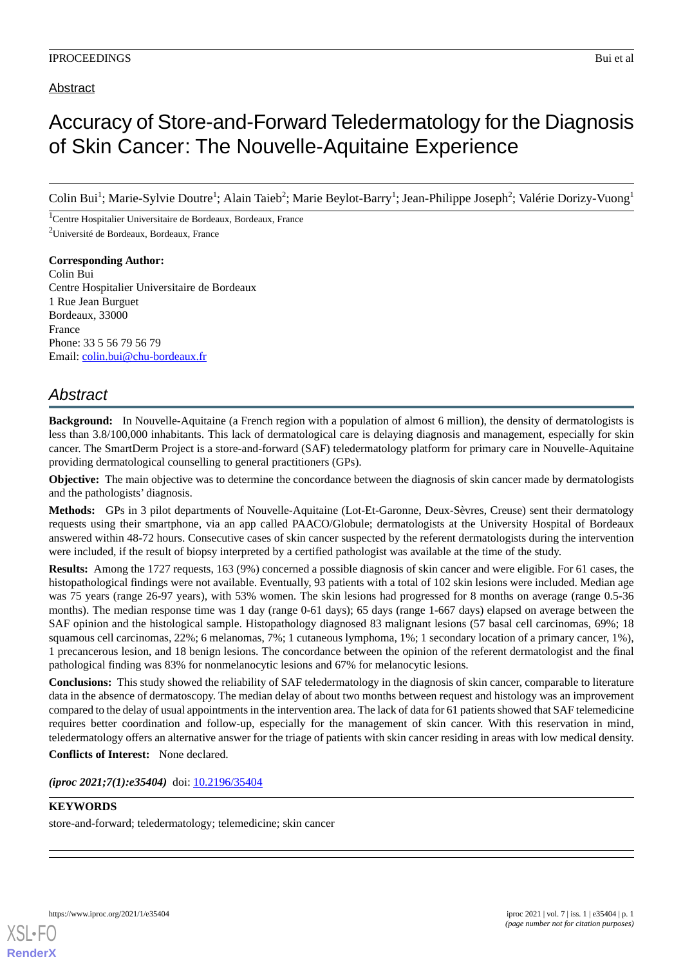## Abstract

# Accuracy of Store-and-Forward Teledermatology for the Diagnosis of Skin Cancer: The Nouvelle-Aquitaine Experience

Colin Bui<sup>1</sup>; Marie-Sylvie Doutre<sup>1</sup>; Alain Taieb<sup>2</sup>; Marie Beylot-Barry<sup>1</sup>; Jean-Philippe Joseph<sup>2</sup>; Valérie Dorizy-Vuong<sup>1</sup>

<sup>1</sup>Centre Hospitalier Universitaire de Bordeaux, Bordeaux, France <sup>2</sup>Université de Bordeaux, Bordeaux, France

**Corresponding Author:** Colin Bui Centre Hospitalier Universitaire de Bordeaux 1 Rue Jean Burguet Bordeaux, 33000 France Phone: 33 5 56 79 56 79 Email: [colin.bui@chu-bordeaux.fr](mailto:colin.bui@chu-bordeaux.fr)

# *Abstract*

**Background:** In Nouvelle-Aquitaine (a French region with a population of almost 6 million), the density of dermatologists is less than 3.8/100,000 inhabitants. This lack of dermatological care is delaying diagnosis and management, especially for skin cancer. The SmartDerm Project is a store-and-forward (SAF) teledermatology platform for primary care in Nouvelle-Aquitaine providing dermatological counselling to general practitioners (GPs).

**Objective:** The main objective was to determine the concordance between the diagnosis of skin cancer made by dermatologists and the pathologists' diagnosis.

**Methods:** GPs in 3 pilot departments of Nouvelle-Aquitaine (Lot-Et-Garonne, Deux-Sèvres, Creuse) sent their dermatology requests using their smartphone, via an app called PAACO/Globule; dermatologists at the University Hospital of Bordeaux answered within 48-72 hours. Consecutive cases of skin cancer suspected by the referent dermatologists during the intervention were included, if the result of biopsy interpreted by a certified pathologist was available at the time of the study.

**Results:** Among the 1727 requests, 163 (9%) concerned a possible diagnosis of skin cancer and were eligible. For 61 cases, the histopathological findings were not available. Eventually, 93 patients with a total of 102 skin lesions were included. Median age was 75 years (range 26-97 years), with 53% women. The skin lesions had progressed for 8 months on average (range 0.5-36 months). The median response time was 1 day (range 0-61 days); 65 days (range 1-667 days) elapsed on average between the SAF opinion and the histological sample. Histopathology diagnosed 83 malignant lesions (57 basal cell carcinomas, 69%; 18 squamous cell carcinomas, 22%; 6 melanomas, 7%; 1 cutaneous lymphoma, 1%; 1 secondary location of a primary cancer, 1%), 1 precancerous lesion, and 18 benign lesions. The concordance between the opinion of the referent dermatologist and the final pathological finding was 83% for nonmelanocytic lesions and 67% for melanocytic lesions.

**Conclusions:** This study showed the reliability of SAF teledermatology in the diagnosis of skin cancer, comparable to literature data in the absence of dermatoscopy. The median delay of about two months between request and histology was an improvement compared to the delay of usual appointments in the intervention area. The lack of data for 61 patients showed that SAF telemedicine requires better coordination and follow-up, especially for the management of skin cancer. With this reservation in mind, teledermatology offers an alternative answer for the triage of patients with skin cancer residing in areas with low medical density.

**Conflicts of Interest:** None declared.

*(iproc 2021;7(1):e35404)* doi:  $10.2196/35404$ 

### **KEYWORDS**

store-and-forward; teledermatology; telemedicine; skin cancer